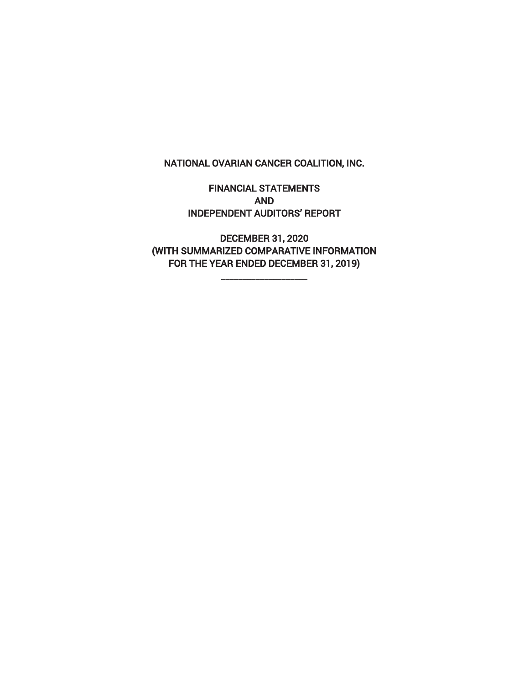NATIONAL OVARIAN CANCER COALITION, INC.

FINANCIAL STATEMENTS AND INDEPENDENT AUDITORS' REPORT

DECEMBER 31, 2020 (WITH SUMMARIZED COMPARATIVE INFORMATION FOR THE YEAR ENDED DECEMBER 31, 2019)

\_\_\_\_\_\_\_\_\_\_\_\_\_\_\_\_\_\_\_\_\_\_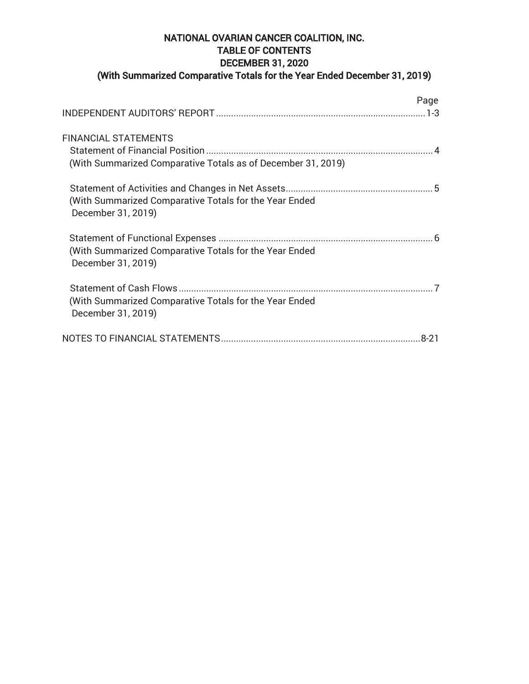|                                                                                             | Page |
|---------------------------------------------------------------------------------------------|------|
| <b>FINANCIAL STATEMENTS</b><br>(With Summarized Comparative Totals as of December 31, 2019) |      |
| (With Summarized Comparative Totals for the Year Ended<br>December 31, 2019)                |      |
| (With Summarized Comparative Totals for the Year Ended<br>December 31, 2019)                |      |
| (With Summarized Comparative Totals for the Year Ended<br>December 31, 2019)                |      |
|                                                                                             |      |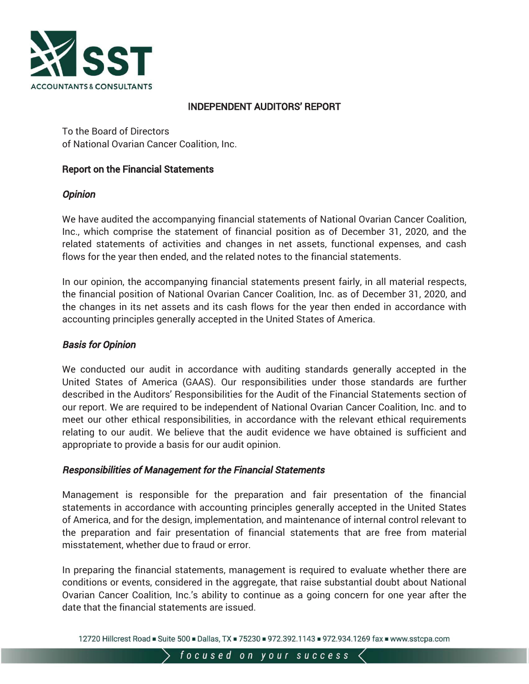

### INDEPENDENT AUDITORS' REPORT

To the Board of Directors of National Ovarian Cancer Coalition, Inc.

### Report on the Financial Statements

### **Opinion**

We have audited the accompanying financial statements of National Ovarian Cancer Coalition, Inc., which comprise the statement of financial position as of December 31, 2020, and the related statements of activities and changes in net assets, functional expenses, and cash flows for the year then ended, and the related notes to the financial statements.

In our opinion, the accompanying financial statements present fairly, in all material respects, the financial position of National Ovarian Cancer Coalition, Inc. as of December 31, 2020, and the changes in its net assets and its cash flows for the year then ended in accordance with accounting principles generally accepted in the United States of America.

#### Basis for Opinion

We conducted our audit in accordance with auditing standards generally accepted in the United States of America (GAAS). Our responsibilities under those standards are further described in the Auditors' Responsibilities for the Audit of the Financial Statements section of our report. We are required to be independent of National Ovarian Cancer Coalition, Inc. and to meet our other ethical responsibilities, in accordance with the relevant ethical requirements relating to our audit. We believe that the audit evidence we have obtained is sufficient and appropriate to provide a basis for our audit opinion.

#### Responsibilities of Management for the Financial Statements

Management is responsible for the preparation and fair presentation of the financial statements in accordance with accounting principles generally accepted in the United States of America, and for the design, implementation, and maintenance of internal control relevant to the preparation and fair presentation of financial statements that are free from material misstatement, whether due to fraud or error.

In preparing the financial statements, management is required to evaluate whether there are conditions or events, considered in the aggregate, that raise substantial doubt about National Ovarian Cancer Coalition, Inc.'s ability to continue as a going concern for one year after the date that the financial statements are issued.

12720 Hillcrest Road = Suite 500 = Dallas, TX = 75230 = 972.392.1143 = 972.934.1269 fax = www.sstcpa.com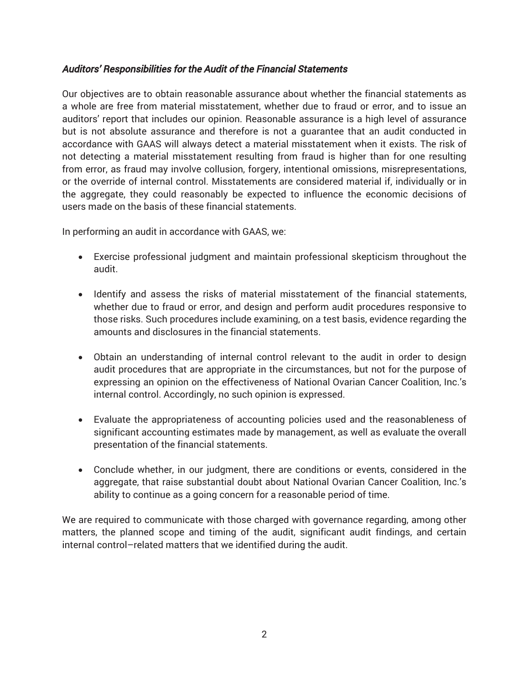### Auditors' Responsibilities for the Audit of the Financial Statements

Our objectives are to obtain reasonable assurance about whether the financial statements as a whole are free from material misstatement, whether due to fraud or error, and to issue an auditors' report that includes our opinion. Reasonable assurance is a high level of assurance but is not absolute assurance and therefore is not a guarantee that an audit conducted in accordance with GAAS will always detect a material misstatement when it exists. The risk of not detecting a material misstatement resulting from fraud is higher than for one resulting from error, as fraud may involve collusion, forgery, intentional omissions, misrepresentations, or the override of internal control. Misstatements are considered material if, individually or in the aggregate, they could reasonably be expected to influence the economic decisions of users made on the basis of these financial statements.

In performing an audit in accordance with GAAS, we:

- Exercise professional judgment and maintain professional skepticism throughout the audit.
- Identify and assess the risks of material misstatement of the financial statements, whether due to fraud or error, and design and perform audit procedures responsive to those risks. Such procedures include examining, on a test basis, evidence regarding the amounts and disclosures in the financial statements.
- Obtain an understanding of internal control relevant to the audit in order to design audit procedures that are appropriate in the circumstances, but not for the purpose of expressing an opinion on the effectiveness of National Ovarian Cancer Coalition, Inc.'s internal control. Accordingly, no such opinion is expressed.
- Evaluate the appropriateness of accounting policies used and the reasonableness of significant accounting estimates made by management, as well as evaluate the overall presentation of the financial statements.
- Conclude whether, in our judgment, there are conditions or events, considered in the aggregate, that raise substantial doubt about National Ovarian Cancer Coalition, Inc.'s ability to continue as a going concern for a reasonable period of time.

We are required to communicate with those charged with governance regarding, among other matters, the planned scope and timing of the audit, significant audit findings, and certain internal control–related matters that we identified during the audit.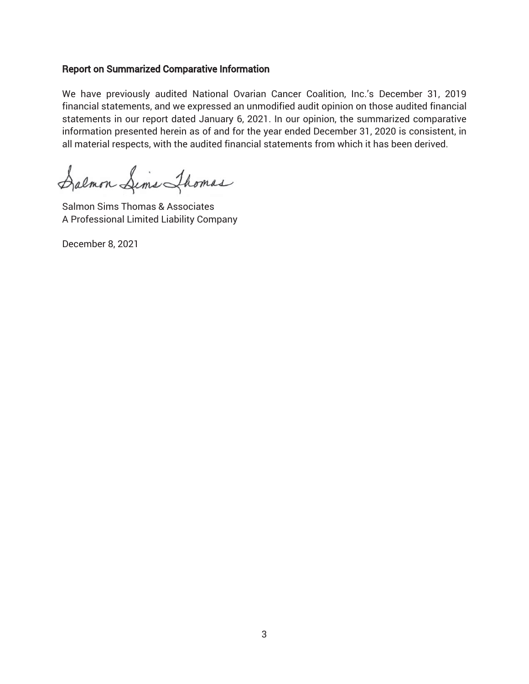### Report on Summarized Comparative Information

We have previously audited National Ovarian Cancer Coalition, Inc.'s December 31, 2019 financial statements, and we expressed an unmodified audit opinion on those audited financial statements in our report dated January 6, 2021. In our opinion, the summarized comparative information presented herein as of and for the year ended December 31, 2020 is consistent, in all material respects, with the audited financial statements from which it has been derived.

Salmon Sims Thomas

Salmon Sims Thomas & Associates A Professional Limited Liability Company

December 8, 2021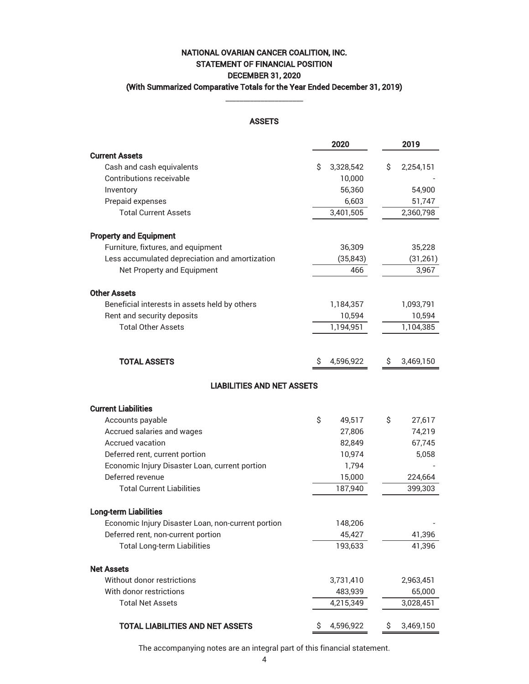#### ASSETS

\_\_\_\_\_\_\_\_\_\_\_\_\_\_\_\_\_\_\_\_\_\_

|                                                    | 2020            | 2019            |  |  |  |  |
|----------------------------------------------------|-----------------|-----------------|--|--|--|--|
| <b>Current Assets</b>                              |                 |                 |  |  |  |  |
| Cash and cash equivalents                          | 3,328,542<br>\$ | \$<br>2,254,151 |  |  |  |  |
| <b>Contributions receivable</b>                    | 10,000          |                 |  |  |  |  |
| Inventory                                          | 56,360          | 54,900          |  |  |  |  |
| Prepaid expenses                                   | 6,603           | 51,747          |  |  |  |  |
| <b>Total Current Assets</b>                        | 3,401,505       | 2,360,798       |  |  |  |  |
| <b>Property and Equipment</b>                      |                 |                 |  |  |  |  |
| Furniture, fixtures, and equipment                 | 36,309          | 35,228          |  |  |  |  |
| Less accumulated depreciation and amortization     | (35, 843)       | (31, 261)       |  |  |  |  |
| Net Property and Equipment                         | 466             | 3,967           |  |  |  |  |
| <b>Other Assets</b>                                |                 |                 |  |  |  |  |
| Beneficial interests in assets held by others      | 1,184,357       | 1,093,791       |  |  |  |  |
| Rent and security deposits                         | 10,594          | 10,594          |  |  |  |  |
| <b>Total Other Assets</b>                          | 1,194,951       | 1,104,385       |  |  |  |  |
| <b>TOTAL ASSETS</b>                                | \$<br>4,596,922 | \$<br>3,469,150 |  |  |  |  |
| <b>LIABILITIES AND NET ASSETS</b>                  |                 |                 |  |  |  |  |
| <b>Current Liabilities</b>                         |                 |                 |  |  |  |  |
| Accounts payable                                   | \$<br>49,517    | \$<br>27,617    |  |  |  |  |
| Accrued salaries and wages                         | 27,806          | 74,219          |  |  |  |  |
| Accrued vacation                                   | 82,849          | 67,745          |  |  |  |  |
| Deferred rent, current portion                     | 10,974          | 5,058           |  |  |  |  |
| Economic Injury Disaster Loan, current portion     | 1,794           |                 |  |  |  |  |
| Deferred revenue                                   | 15,000          | 224,664         |  |  |  |  |
| <b>Total Current Liabilities</b>                   | 187,940         | 399,303         |  |  |  |  |
| <b>Long-term Liabilities</b>                       |                 |                 |  |  |  |  |
| Economic Injury Disaster Loan, non-current portion | 148,206         |                 |  |  |  |  |
| Deferred rent, non-current portion                 | 45,427          | 41,396          |  |  |  |  |
| <b>Total Long-term Liabilities</b>                 | 193,633         | 41,396          |  |  |  |  |
| <b>Net Assets</b>                                  |                 |                 |  |  |  |  |
| Without donor restrictions                         | 3,731,410       | 2,963,451       |  |  |  |  |
| With donor restrictions                            | 483,939         | 65,000          |  |  |  |  |
| <b>Total Net Assets</b>                            | 4,215,349       | 3,028,451       |  |  |  |  |
| TOTAL LIABILITIES AND NET ASSETS                   | 4,596,922<br>S  | \$<br>3,469,150 |  |  |  |  |

The accompanying notes are an integral part of this financial statement.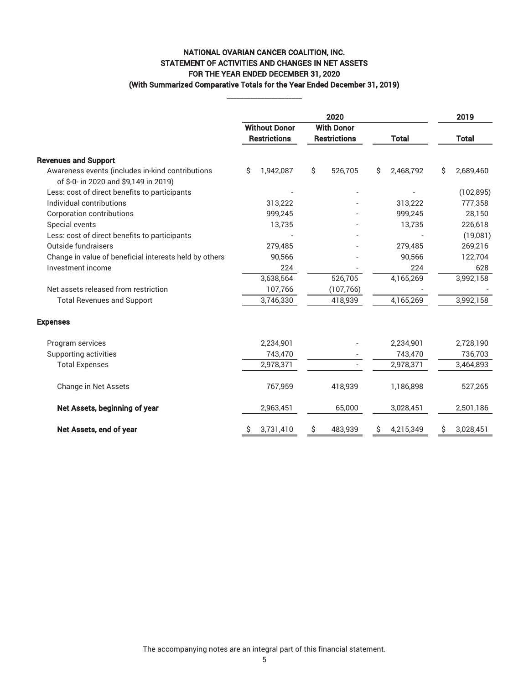#### NATIONAL OVARIAN CANCER COALITION, INC. STATEMENT OF ACTIVITIES AND CHANGES IN NET ASSETS FOR THE YEAR ENDED DECEMBER 31, 2020 (With Summarized Comparative Totals for the Year Ended December 31, 2019)

\_\_\_\_\_\_\_\_\_\_\_\_\_\_\_\_\_\_\_\_\_\_

|                                                                                           |                      |                     | 2019            |                 |  |
|-------------------------------------------------------------------------------------------|----------------------|---------------------|-----------------|-----------------|--|
|                                                                                           | <b>Without Donor</b> | <b>With Donor</b>   |                 |                 |  |
|                                                                                           | <b>Restrictions</b>  | <b>Restrictions</b> | <b>Total</b>    | <b>Total</b>    |  |
| <b>Revenues and Support</b>                                                               |                      |                     |                 |                 |  |
| Awareness events (includes in-kind contributions<br>of \$-0- in 2020 and \$9,149 in 2019) | Ś<br>1,942,087       | \$<br>526,705       | Ŝ.<br>2,468,792 | Ŝ.<br>2,689,460 |  |
| Less: cost of direct benefits to participants                                             |                      |                     |                 | (102, 895)      |  |
| Individual contributions                                                                  | 313,222              |                     | 313.222         | 777,358         |  |
| Corporation contributions                                                                 | 999,245              |                     | 999,245         | 28,150          |  |
| Special events                                                                            | 13,735               |                     | 13,735          | 226,618         |  |
| Less: cost of direct benefits to participants                                             |                      |                     |                 | (19,081)        |  |
| Outside fundraisers                                                                       | 279.485              |                     | 279,485         | 269,216         |  |
| Change in value of beneficial interests held by others                                    | 90,566               |                     | 90,566          | 122,704         |  |
| Investment income                                                                         | 224                  |                     | 224             | 628             |  |
|                                                                                           | 3,638,564            | 526,705             | 4,165,269       | 3,992,158       |  |
| Net assets released from restriction                                                      | 107,766              | (107, 766)          |                 |                 |  |
| <b>Total Revenues and Support</b>                                                         | 3,746,330            | 418,939             | 4,165,269       | 3,992,158       |  |
| <b>Expenses</b>                                                                           |                      |                     |                 |                 |  |
| Program services                                                                          | 2,234,901            |                     | 2,234,901       | 2,728,190       |  |
| Supporting activities                                                                     | 743,470              |                     | 743,470         | 736,703         |  |
| <b>Total Expenses</b>                                                                     | 2,978,371            |                     | 2,978,371       | 3,464,893       |  |
| Change in Net Assets                                                                      | 767,959              | 418,939             | 1,186,898       | 527,265         |  |
| Net Assets, beginning of year                                                             | 2,963,451            | 65,000              | 3,028,451       | 2,501,186       |  |
| Net Assets, end of year                                                                   | 3,731,410<br>S       | 483,939             | 4,215,349       | 3,028,451<br>Ş  |  |

The accompanying notes are an integral part of this financial statement.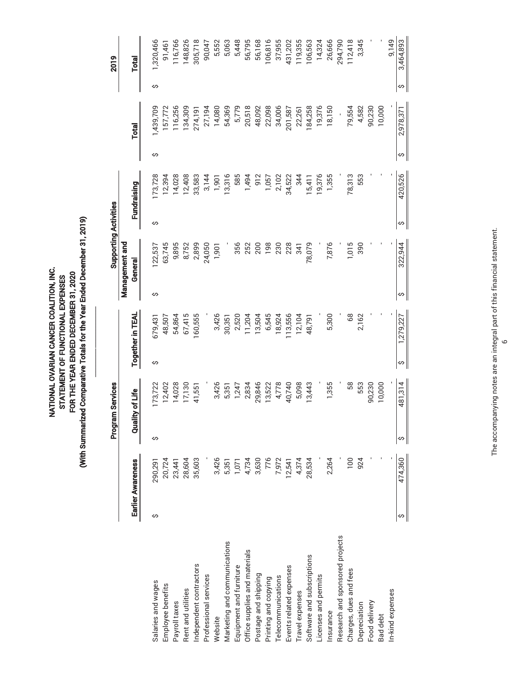|                                 |   |                   | Progra | am Services     |   |                  |   | <b>Supporting Activities</b> |   |             |   |              |   | 2019         |
|---------------------------------|---|-------------------|--------|-----------------|---|------------------|---|------------------------------|---|-------------|---|--------------|---|--------------|
|                                 |   |                   |        |                 |   |                  |   | Management and               |   |             |   |              |   |              |
|                                 |   | Earlier Awareness |        | Quality of Life |   | Together in TEAL |   | General                      |   | Fundraising |   | <b>Total</b> |   | <b>Total</b> |
| Salaries and wages              | တ | 290,291           | ∽      | 173,722         | ∽ | 679,431          | ∽ | 122,537                      | ∽ | 73,728      | S | ,439,709     | ↭ | 1,320,466    |
| Employee benefits               |   | 20,724            |        | 12,402          |   | 48,507           |   | 63,745                       |   | 12,394      |   | 157,772      |   | 91,461       |
| Payroll taxes                   |   | 23,441            |        | 14,028          |   | 54,864           |   | 9,895                        |   | 14,028      |   | 16,256       |   | 16,766       |
| Rent and utilities              |   | 28,604            |        | 17,130          |   | 67,415           |   | 8,752                        |   | 12,408      |   | 134,309      |   | 148,826      |
| Independent contractors         |   | 35,603            |        | 41,551          |   | 60,555           |   | 2,899                        |   | 33,583      |   | 274,191      |   | 305,718      |
| Professional services           |   |                   |        |                 |   |                  |   | 24,050                       |   | 3,144       |   | 27,194       |   | 90,047       |
| Website                         |   | 3,426             |        | 3,426           |   | 3,426            |   | 1,901                        |   | 1,901       |   | 14,080       |   | 5,552        |
| Marketing and communications    |   | 5,351             |        | 5,351           |   | 30,351           |   |                              |   | 13,316      |   | 54,369       |   | 5,063        |
| Equipment and furniture         |   |                   |        | 1,247           |   | 2,520            |   | 356                          |   | 585         |   | 5,779        |   | 5,448        |
| Office supplies and materials   |   | 1,071<br>4,734    |        | 2,834           |   | 11,204           |   | 252                          |   | 1,494       |   | 20,518       |   | 56,795       |
| Postage and shipping            |   | 3,630             |        | 29,846          |   | 13,504           |   | 200                          |   | 912         |   | 48,092       |   | 56,168       |
| Printing and copying            |   | 776               |        | 13,522          |   | 6,545            |   | 198                          |   | 1,057       |   | 22,098       |   | 106,816      |
| <b>relecommunications</b>       |   | 7,972             |        | 4,778           |   | 18,924           |   | 230                          |   | 2,102       |   | 34,006       |   | 37,955       |
| Events related expenses         |   | 12,541            |        | 40,740          |   | 113,556          |   | 228                          |   | 34,522      |   | 201,587      |   | 431,202      |
| ravel expenses                  |   | 4,374             |        | 5,098           |   | 12,104           |   | 341                          |   | 344         |   | 22,261       |   | 19,355       |
| Software and subscriptions      |   | 28,534            |        | 13,443          |   | 48,791           |   | 78,079                       |   | 15,411      |   | 184,258      |   | 106,563      |
| Licenses and permits            |   |                   |        |                 |   |                  |   |                              |   | 19,376      |   | 19,376       |   | 14,324       |
| nsurance                        |   | 2,264             |        | 1,355           |   | 5,300            |   | 7,876                        |   | 1,355       |   | 18,150       |   | 26,666       |
| Research and sponsored projects |   |                   |        |                 |   |                  |   |                              |   |             |   |              |   | 294,790      |
| Charges, dues and fees          |   | 100               |        | 58              |   | 89               |   | 1,015                        |   | 78,313      |   | 79,554       |   | 112,418      |
| Depreciation                    |   | 924               |        | 553             |   | 2,162            |   | 390                          |   | 553         |   | 4,582        |   | 3,345        |
| Food delivery                   |   |                   |        | 90,230          |   |                  |   |                              |   |             |   | 90,230       |   |              |
| <b>Bad debt</b>                 |   |                   |        | 10,000          |   |                  |   |                              |   |             |   | 10,000       |   |              |
| n-kind expenses                 |   |                   |        |                 |   |                  |   |                              |   |             |   |              |   | 9,149        |
|                                 |   | 474,360           |        | 481,314         | S | 1,279,227        | S | 322,944                      | ∽ | 420,526     | S | 2,978,371    | S | 3,464,893    |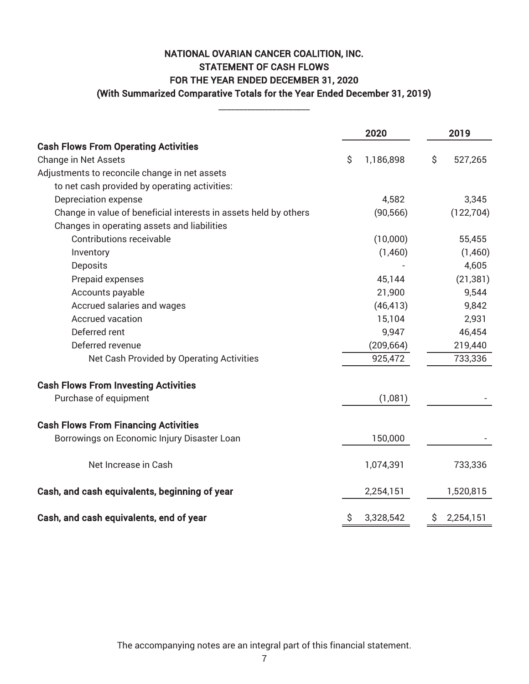# NATIONAL OVARIAN CANCER COALITION, INC. STATEMENT OF CASH FLOWS FOR THE YEAR ENDED DECEMBER 31, 2020 (With Summarized Comparative Totals for the Year Ended December 31, 2019)

\_\_\_\_\_\_\_\_\_\_\_\_\_\_\_\_\_\_\_\_\_\_

|                                                                  | 2020            | 2019            |
|------------------------------------------------------------------|-----------------|-----------------|
| <b>Cash Flows From Operating Activities</b>                      |                 |                 |
| Change in Net Assets                                             | \$<br>1,186,898 | \$<br>527,265   |
| Adjustments to reconcile change in net assets                    |                 |                 |
| to net cash provided by operating activities:                    |                 |                 |
| Depreciation expense                                             | 4,582           | 3,345           |
| Change in value of beneficial interests in assets held by others | (90, 566)       | (122, 704)      |
| Changes in operating assets and liabilities                      |                 |                 |
| <b>Contributions receivable</b>                                  | (10,000)        | 55,455          |
| Inventory                                                        | (1,460)         | (1,460)         |
| <b>Deposits</b>                                                  |                 | 4,605           |
| Prepaid expenses                                                 | 45,144          | (21, 381)       |
| Accounts payable                                                 | 21,900          | 9,544           |
| Accrued salaries and wages                                       | (46, 413)       | 9,842           |
| <b>Accrued vacation</b>                                          | 15,104          | 2,931           |
| Deferred rent                                                    | 9,947           | 46,454          |
| Deferred revenue                                                 | (209, 664)      | 219,440         |
| Net Cash Provided by Operating Activities                        | 925,472         | 733,336         |
| <b>Cash Flows From Investing Activities</b>                      |                 |                 |
| Purchase of equipment                                            | (1,081)         |                 |
| <b>Cash Flows From Financing Activities</b>                      |                 |                 |
| Borrowings on Economic Injury Disaster Loan                      | 150,000         |                 |
| Net Increase in Cash                                             | 1,074,391       | 733,336         |
| Cash, and cash equivalents, beginning of year                    | 2,254,151       | 1,520,815       |
| Cash, and cash equivalents, end of year                          | \$<br>3,328,542 | \$<br>2,254,151 |

The accompanying notes are an integral part of this financial statement.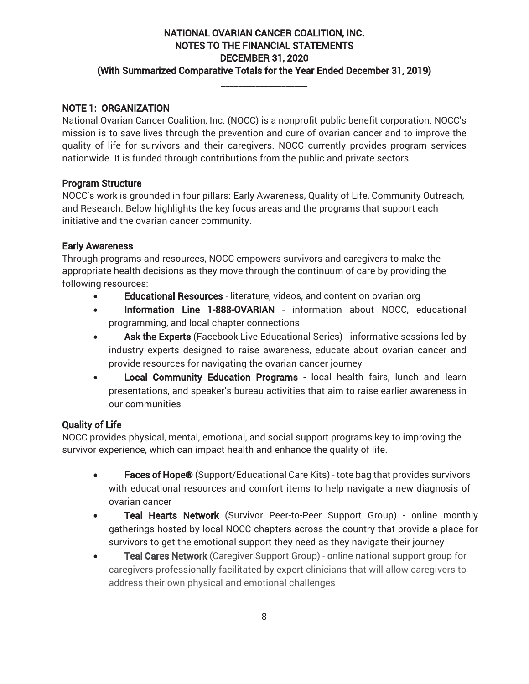\_\_\_\_\_\_\_\_\_\_\_\_\_\_\_\_\_\_\_\_

### NOTE 1: ORGANIZATION

National Ovarian Cancer Coalition, Inc. (NOCC) is a nonprofit public benefit corporation. NOCC's mission is to save lives through the prevention and cure of ovarian cancer and to improve the quality of life for survivors and their caregivers. NOCC currently provides program services nationwide. It is funded through contributions from the public and private sectors.

### Program Structure

NOCC's work is grounded in four pillars: Early Awareness, Quality of Life, Community Outreach, and Research. Below highlights the key focus areas and the programs that support each initiative and the ovarian cancer community.

### Early Awareness

Through programs and resources, NOCC empowers survivors and caregivers to make the appropriate health decisions as they move through the continuum of care by providing the following resources:

- Educational Resources literature, videos, and content on ovarian.org
- Information Line 1-888-OVARIAN information about NOCC, educational programming, and local chapter connections
- Ask the Experts (Facebook Live Educational Series) informative sessions led by industry experts designed to raise awareness, educate about ovarian cancer and provide resources for navigating the ovarian cancer journey
- Local Community Education Programs local health fairs, lunch and learn presentations, and speaker's bureau activities that aim to raise earlier awareness in our communities

### Quality of Life

NOCC provides physical, mental, emotional, and social support programs key to improving the survivor experience, which can impact health and enhance the quality of life.

- Faces of Hope® (Support/Educational Care Kits) tote bag that provides survivors with educational resources and comfort items to help navigate a new diagnosis of ovarian cancer
- Teal Hearts Network (Survivor Peer-to-Peer Support Group) online monthly gatherings hosted by local NOCC chapters across the country that provide a place for survivors to get the emotional support they need as they navigate their journey
- Teal Cares Network (Caregiver Support Group) online national support group for caregivers professionally facilitated by expert clinicians that will allow caregivers to address their own physical and emotional challenges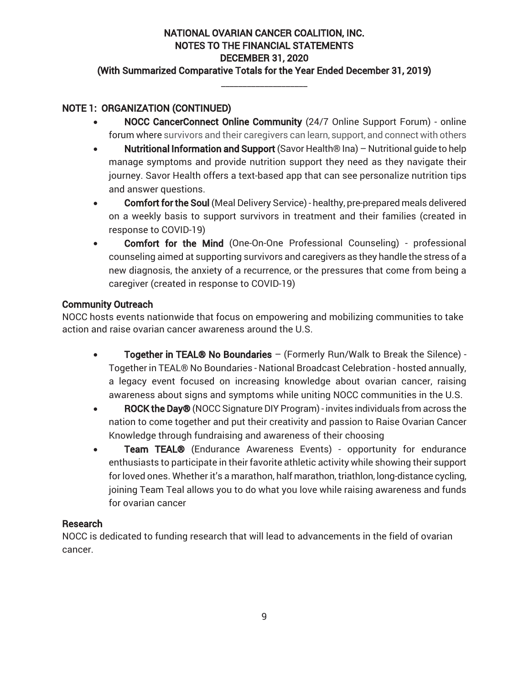## NATIONAL OVARIAN CANCER COALITION, INC. NOTES TO THE FINANCIAL STATEMENTS DECEMBER 31, 2020

### (With Summarized Comparative Totals for the Year Ended December 31, 2019) \_\_\_\_\_\_\_\_\_\_\_\_\_\_\_\_\_\_\_\_

### NOTE 1: ORGANIZATION (CONTINUED)

- NOCC CancerConnect Online Community (24/7 Online Support Forum) online forum where survivors and their caregivers can learn, support, and connect with others
- Nutritional Information and Support (Savor Health® Ina) Nutritional quide to help manage symptoms and provide nutrition support they need as they navigate their journey. Savor Health offers a text-based app that can see personalize nutrition tips and answer questions.
- Comfort for the Soul (Meal Delivery Service) healthy, pre-prepared meals delivered on a weekly basis to support survivors in treatment and their families (created in response to COVID-19)
- Comfort for the Mind (One-On-One Professional Counseling) professional counseling aimed at supporting survivors and caregivers as they handle the stress of a new diagnosis, the anxiety of a recurrence, or the pressures that come from being a caregiver (created in response to COVID-19)

### Community Outreach

NOCC hosts events nationwide that focus on empowering and mobilizing communities to take action and raise ovarian cancer awareness around the U.S.

- Together in TEAL® No Boundaries (Formerly Run/Walk to Break the Silence) -Together in TEAL® No Boundaries - National Broadcast Celebration - hosted annually, a legacy event focused on increasing knowledge about ovarian cancer, raising awareness about signs and symptoms while uniting NOCC communities in the U.S.
- ROCK the Day® (NOCC Signature DIY Program) invites individuals from across the nation to come together and put their creativity and passion to Raise Ovarian Cancer Knowledge through fundraising and awareness of their choosing
- **Team TEAL®** (Endurance Awareness Events) opportunity for endurance enthusiasts to participate in their favorite athletic activity while showing their support for loved ones. Whether it's a marathon, half marathon, triathlon, long-distance cycling, joining Team Teal allows you to do what you love while raising awareness and funds for ovarian cancer

#### Research

NOCC is dedicated to funding research that will lead to advancements in the field of ovarian cancer.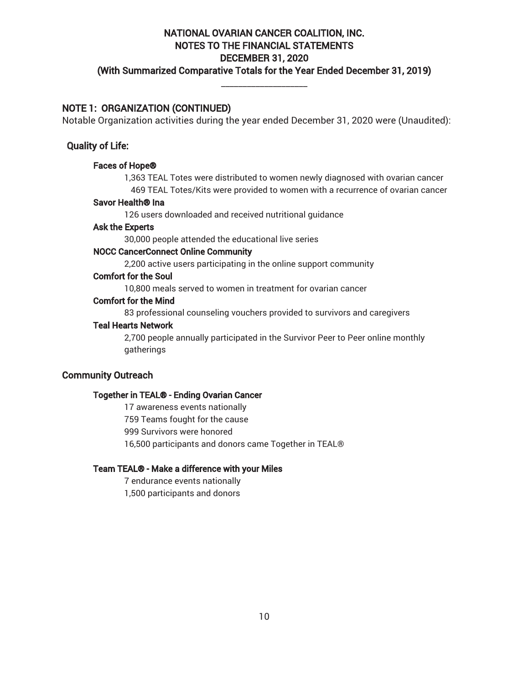# NATIONAL OVARIAN CANCER COALITION, INC. NOTES TO THE FINANCIAL STATEMENTS DECEMBER 31, 2020

(With Summarized Comparative Totals for the Year Ended December 31, 2019)

\_\_\_\_\_\_\_\_\_\_\_\_\_\_\_\_\_\_\_\_

#### NOTE 1: ORGANIZATION (CONTINUED)

Notable Organization activities during the year ended December 31, 2020 were (Unaudited):

#### Quality of Life:

#### Faces of Hope®

1,363 TEAL Totes were distributed to women newly diagnosed with ovarian cancer 469 TEAL Totes/Kits were provided to women with a recurrence of ovarian cancer

#### Savor Health® Ina

126 users downloaded and received nutritional guidance

#### Ask the Experts

30,000 people attended the educational live series

#### NOCC CancerConnect Online Community

2,200 active users participating in the online support community

#### Comfort for the Soul

10,800 meals served to women in treatment for ovarian cancer

#### Comfort for the Mind

83 professional counseling vouchers provided to survivors and caregivers

#### Teal Hearts Network

2,700 people annually participated in the Survivor Peer to Peer online monthly gatherings

#### Community Outreach

#### Together in TEAL® - Ending Ovarian Cancer

17 awareness events nationally 759 Teams fought for the cause 999 Survivors were honored 16,500 participants and donors came Together in TEAL®

#### Team TEAL® - Make a difference with your Miles

7 endurance events nationally

1,500 participants and donors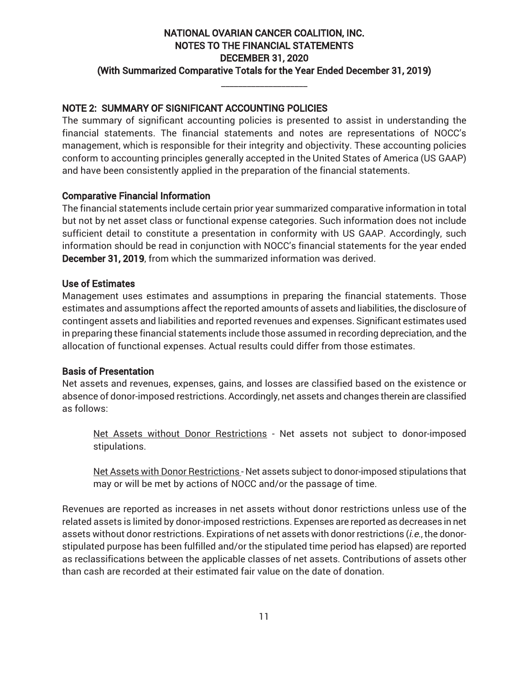### NOTE 2: SUMMARY OF SIGNIFICANT ACCOUNTING POLICIES

The summary of significant accounting policies is presented to assist in understanding the financial statements. The financial statements and notes are representations of NOCC's management, which is responsible for their integrity and objectivity. These accounting policies conform to accounting principles generally accepted in the United States of America (US GAAP) and have been consistently applied in the preparation of the financial statements.

### Comparative Financial Information

The financial statements include certain prior year summarized comparative information in total but not by net asset class or functional expense categories. Such information does not include sufficient detail to constitute a presentation in conformity with US GAAP. Accordingly, such information should be read in conjunction with NOCC's financial statements for the year ended December 31, 2019, from which the summarized information was derived.

#### Use of Estimates

Management uses estimates and assumptions in preparing the financial statements. Those estimates and assumptions affect the reported amounts of assets and liabilities, the disclosure of contingent assets and liabilities and reported revenues and expenses. Significant estimates used in preparing these financial statements include those assumed in recording depreciation, and the allocation of functional expenses. Actual results could differ from those estimates.

#### Basis of Presentation

Net assets and revenues, expenses, gains, and losses are classified based on the existence or absence of donor-imposed restrictions. Accordingly, net assets and changes therein are classified as follows:

Net Assets without Donor Restrictions - Net assets not subject to donor-imposed stipulations.

Net Assets with Donor Restrictions - Net assets subject to donor-imposed stipulations that may or will be met by actions of NOCC and/or the passage of time.

Revenues are reported as increases in net assets without donor restrictions unless use of the related assets is limited by donor-imposed restrictions. Expenses are reported as decreases in net assets without donor restrictions. Expirations of net assets with donor restrictions (i.e., the donorstipulated purpose has been fulfilled and/or the stipulated time period has elapsed) are reported as reclassifications between the applicable classes of net assets. Contributions of assets other than cash are recorded at their estimated fair value on the date of donation.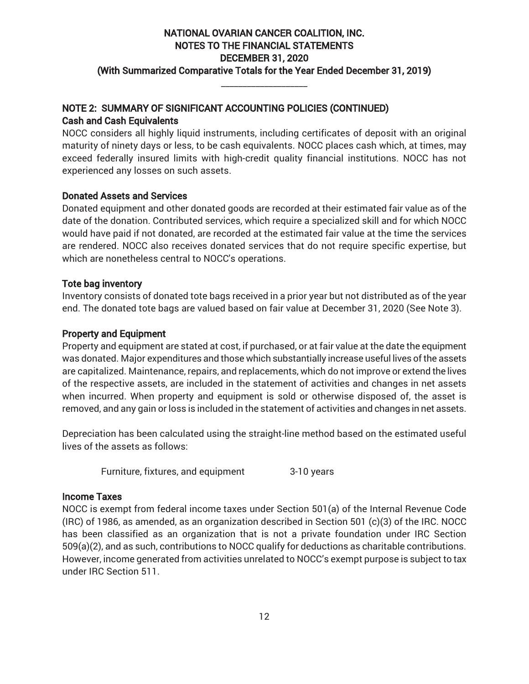\_\_\_\_\_\_\_\_\_\_\_\_\_\_\_\_\_\_\_\_

### NOTE 2: SUMMARY OF SIGNIFICANT ACCOUNTING POLICIES (CONTINUED) Cash and Cash Equivalents

NOCC considers all highly liquid instruments, including certificates of deposit with an original maturity of ninety days or less, to be cash equivalents. NOCC places cash which, at times, may exceed federally insured limits with high-credit quality financial institutions. NOCC has not experienced any losses on such assets.

### Donated Assets and Services

Donated equipment and other donated goods are recorded at their estimated fair value as of the date of the donation. Contributed services, which require a specialized skill and for which NOCC would have paid if not donated, are recorded at the estimated fair value at the time the services are rendered. NOCC also receives donated services that do not require specific expertise, but which are nonetheless central to NOCC's operations.

#### Tote bag inventory

Inventory consists of donated tote bags received in a prior year but not distributed as of the year end. The donated tote bags are valued based on fair value at December 31, 2020 (See Note 3).

### Property and Equipment

Property and equipment are stated at cost, if purchased, or at fair value at the date the equipment was donated. Major expenditures and those which substantially increase useful lives of the assets are capitalized. Maintenance, repairs, and replacements, which do not improve or extend the lives of the respective assets, are included in the statement of activities and changes in net assets when incurred. When property and equipment is sold or otherwise disposed of, the asset is removed, and any gain or loss is included in the statement of activities and changes in net assets.

Depreciation has been calculated using the straight-line method based on the estimated useful lives of the assets as follows:

Furniture, fixtures, and equipment 3-10 years

#### Income Taxes

NOCC is exempt from federal income taxes under Section 501(a) of the Internal Revenue Code (IRC) of 1986, as amended, as an organization described in Section 501 (c)(3) of the IRC. NOCC has been classified as an organization that is not a private foundation under IRC Section 509(a)(2), and as such, contributions to NOCC qualify for deductions as charitable contributions. However, income generated from activities unrelated to NOCC's exempt purpose is subject to tax under IRC Section 511.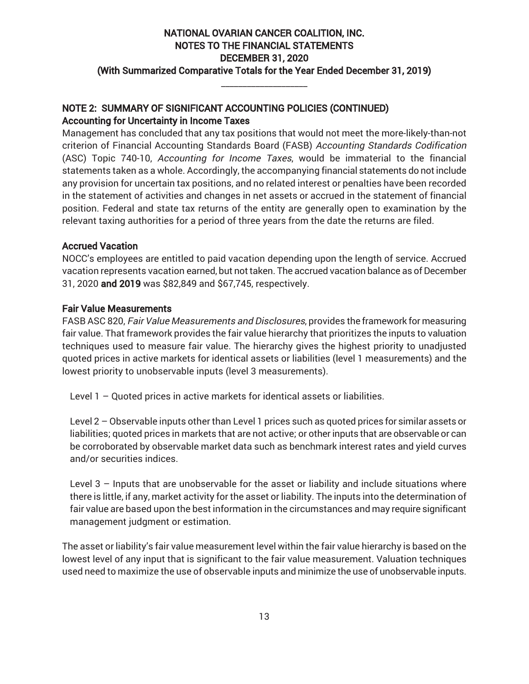\_\_\_\_\_\_\_\_\_\_\_\_\_\_\_\_\_\_\_\_

## NOTE 2: SUMMARY OF SIGNIFICANT ACCOUNTING POLICIES (CONTINUED) Accounting for Uncertainty in Income Taxes

Management has concluded that any tax positions that would not meet the more-likely-than-not criterion of Financial Accounting Standards Board (FASB) Accounting Standards Codification (ASC) Topic 740-10, Accounting for Income Taxes, would be immaterial to the financial statements taken as a whole. Accordingly, the accompanying financial statements do not include any provision for uncertain tax positions, and no related interest or penalties have been recorded in the statement of activities and changes in net assets or accrued in the statement of financial position. Federal and state tax returns of the entity are generally open to examination by the relevant taxing authorities for a period of three years from the date the returns are filed.

### Accrued Vacation

NOCC's employees are entitled to paid vacation depending upon the length of service. Accrued vacation represents vacation earned, but not taken. The accrued vacation balance as of December 31, 2020 and 2019 was \$82,849 and \$67,745, respectively.

### Fair Value Measurements

FASB ASC 820, Fair Value Measurements and Disclosures, provides the framework for measuring fair value. That framework provides the fair value hierarchy that prioritizes the inputs to valuation techniques used to measure fair value. The hierarchy gives the highest priority to unadjusted quoted prices in active markets for identical assets or liabilities (level 1 measurements) and the lowest priority to unobservable inputs (level 3 measurements).

Level 1 – Quoted prices in active markets for identical assets or liabilities.

Level 2 – Observable inputs other than Level 1 prices such as quoted prices for similar assets or liabilities; quoted prices in markets that are not active; or other inputs that are observable or can be corroborated by observable market data such as benchmark interest rates and yield curves and/or securities indices.

Level 3 – Inputs that are unobservable for the asset or liability and include situations where there is little, if any, market activity for the asset or liability. The inputs into the determination of fair value are based upon the best information in the circumstances and may require significant management judgment or estimation.

The asset or liability's fair value measurement level within the fair value hierarchy is based on the lowest level of any input that is significant to the fair value measurement. Valuation techniques used need to maximize the use of observable inputs and minimize the use of unobservable inputs.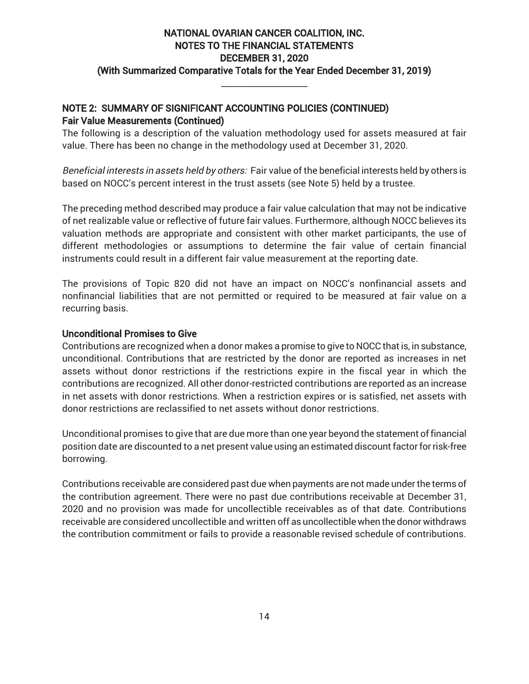\_\_\_\_\_\_\_\_\_\_\_\_\_\_\_\_\_\_\_\_

## NOTE 2: SUMMARY OF SIGNIFICANT ACCOUNTING POLICIES (CONTINUED) Fair Value Measurements (Continued)

The following is a description of the valuation methodology used for assets measured at fair value. There has been no change in the methodology used at December 31, 2020.

Beneficial interests in assets held by others: Fair value of the beneficial interests held by others is based on NOCC's percent interest in the trust assets (see Note 5) held by a trustee.

The preceding method described may produce a fair value calculation that may not be indicative of net realizable value or reflective of future fair values. Furthermore, although NOCC believes its valuation methods are appropriate and consistent with other market participants, the use of different methodologies or assumptions to determine the fair value of certain financial instruments could result in a different fair value measurement at the reporting date.

The provisions of Topic 820 did not have an impact on NOCC's nonfinancial assets and nonfinancial liabilities that are not permitted or required to be measured at fair value on a recurring basis.

### Unconditional Promises to Give

Contributions are recognized when a donor makes a promise to give to NOCC that is, in substance, unconditional. Contributions that are restricted by the donor are reported as increases in net assets without donor restrictions if the restrictions expire in the fiscal year in which the contributions are recognized. All other donor-restricted contributions are reported as an increase in net assets with donor restrictions. When a restriction expires or is satisfied, net assets with donor restrictions are reclassified to net assets without donor restrictions.

Unconditional promises to give that are due more than one year beyond the statement of financial position date are discounted to a net present value using an estimated discount factor for risk-free borrowing.

Contributions receivable are considered past due when payments are not made under the terms of the contribution agreement. There were no past due contributions receivable at December 31, 2020 and no provision was made for uncollectible receivables as of that date. Contributions receivable are considered uncollectible and written off as uncollectible when the donor withdraws the contribution commitment or fails to provide a reasonable revised schedule of contributions.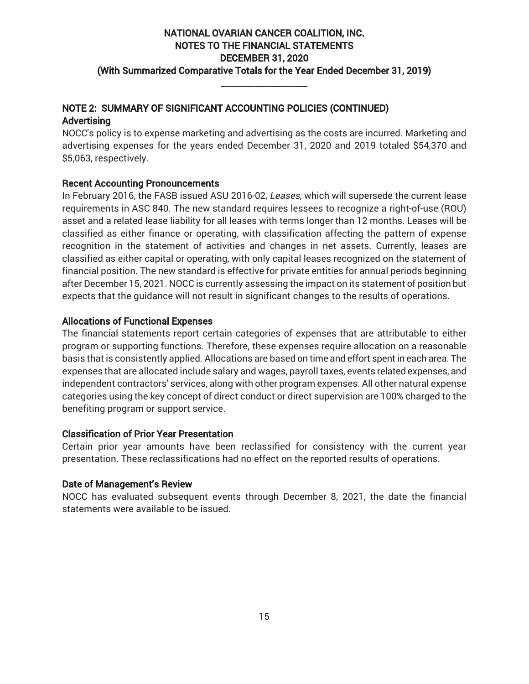### NOTE 2: SUMMARY OF SIGNIFICANT ACCOUNTING POLICIES (CONTINUED) Advertising

NOCC's policy is to expense marketing and advertising as the costs are incurred. Marketing and advertising expenses for the years ended December 31, 2020 and 2019 totaled \$54,370 and \$5,063, respectively.

### Recent Accounting Pronouncements

In February 2016, the FASB issued ASU 2016-02, Leases, which will supersede the current lease requirements in ASC 840. The new standard requires lessees to recognize a right-of-use (ROU) asset and a related lease liability for all leases with terms longer than 12 months. Leases will be classified as either finance or operating, with classification affecting the pattern of expense recognition in the statement of activities and changes in net assets. Currently, leases are classified as either capital or operating, with only capital leases recognized on the statement of financial position. The new standard is effective for private entities for annual periods beginning after December 15, 2021. NOCC is currently assessing the impact on its statement of position but expects that the guidance will not result in significant changes to the results of operations.

### Allocations of Functional Expenses

The financial statements report certain categories of expenses that are attributable to either program or supporting functions. Therefore, these expenses require allocation on a reasonable basis that is consistently applied. Allocations are based on time and effort spent in each area. The expenses that are allocated include salary and wages, payroll taxes, events related expenses, and independent contractors' services, along with other program expenses. All other natural expense categories using the key concept of direct conduct or direct supervision are 100% charged to the benefiting program or support service.

#### Classification of Prior Year Presentation

Certain prior year amounts have been reclassified for consistency with the current year presentation. These reclassifications had no effect on the reported results of operations.

#### Date of Management's Review

NOCC has evaluated subsequent events through December 8, 2021, the date the financial statements were available to be issued.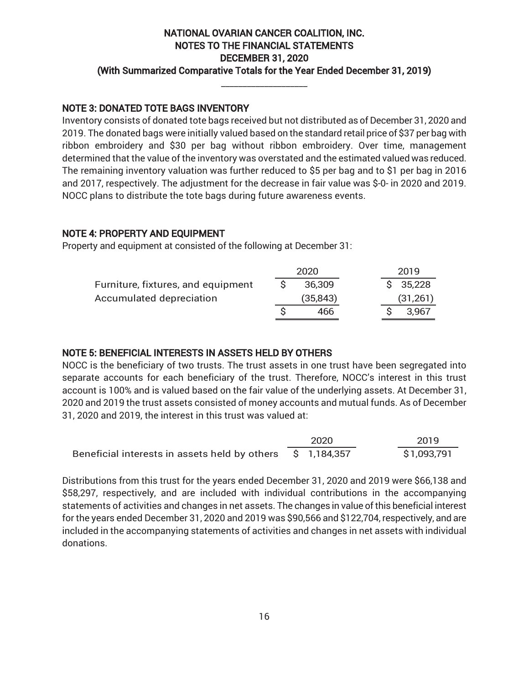### NOTE 3: DONATED TOTE BAGS INVENTORY

Inventory consists of donated tote bags received but not distributed as of December 31, 2020 and 2019. The donated bags were initially valued based on the standard retail price of \$37 per bag with ribbon embroidery and \$30 per bag without ribbon embroidery. Over time, management determined that the value of the inventory was overstated and the estimated valued was reduced. The remaining inventory valuation was further reduced to \$5 per bag and to \$1 per bag in 2016 and 2017, respectively. The adjustment for the decrease in fair value was \$-0- in 2020 and 2019. NOCC plans to distribute the tote bags during future awareness events.

### NOTE 4: PROPERTY AND EQUIPMENT

Property and equipment at consisted of the following at December 31:

|                                    | 2020      |  | 2019     |
|------------------------------------|-----------|--|----------|
| Furniture, fixtures, and equipment | 36,309    |  | \$35,228 |
| Accumulated depreciation           | (35, 843) |  | (31,261) |
|                                    | 466       |  | 3.967    |

### NOTE 5: BENEFICIAL INTERESTS IN ASSETS HELD BY OTHERS

NOCC is the beneficiary of two trusts. The trust assets in one trust have been segregated into separate accounts for each beneficiary of the trust. Therefore, NOCC's interest in this trust account is 100% and is valued based on the fair value of the underlying assets. At December 31, 2020 and 2019 the trust assets consisted of money accounts and mutual funds. As of December 31, 2020 and 2019, the interest in this trust was valued at:

|                                                             | 2020 | 2019        |
|-------------------------------------------------------------|------|-------------|
| Beneficial interests in assets held by others $$ 1,184,357$ |      | \$1,093,791 |

Distributions from this trust for the years ended December 31, 2020 and 2019 were \$66,138 and \$58,297, respectively, and are included with individual contributions in the accompanying statements of activities and changes in net assets. The changes in value of this beneficial interest for the years ended December 31, 2020 and 2019 was \$90,566 and \$122,704, respectively, and are included in the accompanying statements of activities and changes in net assets with individual donations.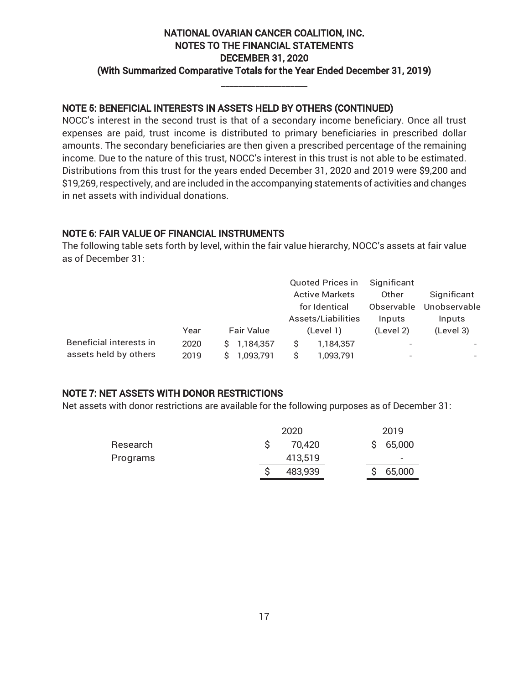## NOTE 5: BENEFICIAL INTERESTS IN ASSETS HELD BY OTHERS (CONTINUED)

NOCC's interest in the second trust is that of a secondary income beneficiary. Once all trust expenses are paid, trust income is distributed to primary beneficiaries in prescribed dollar amounts. The secondary beneficiaries are then given a prescribed percentage of the remaining income. Due to the nature of this trust, NOCC's interest in this trust is not able to be estimated. Distributions from this trust for the years ended December 31, 2020 and 2019 were \$9,200 and \$19,269, respectively, and are included in the accompanying statements of activities and changes in net assets with individual donations.

### NOTE 6: FAIR VALUE OF FINANCIAL INSTRUMENTS

The following table sets forth by level, within the fair value hierarchy, NOCC's assets at fair value as of December 31:

|                         | Year | <b>Fair Value</b> | <b>Quoted Prices in</b><br><b>Active Markets</b><br>for Identical<br>Assets/Liabilities<br>(Level 1) | Significant<br>Other<br>Observable<br>Inputs<br>(Level 2) | Significant<br>Unobservable<br>Inputs<br>(Level 3) |
|-------------------------|------|-------------------|------------------------------------------------------------------------------------------------------|-----------------------------------------------------------|----------------------------------------------------|
| Beneficial interests in | 2020 | 1,184,357         | 1,184,357<br>S                                                                                       | -                                                         |                                                    |
| assets held by others   | 2019 | 1,093,791         | 1,093,791<br>S                                                                                       | -                                                         | $\overline{\phantom{a}}$                           |

## NOTE 7: NET ASSETS WITH DONOR RESTRICTIONS

Net assets with donor restrictions are available for the following purposes as of December 31:

|          | 2020    |  | 2019                     |
|----------|---------|--|--------------------------|
| Research | 70,420  |  | \$65,000                 |
| Programs | 413,519 |  | $\overline{\phantom{0}}$ |
|          | 483,939 |  | 65,000                   |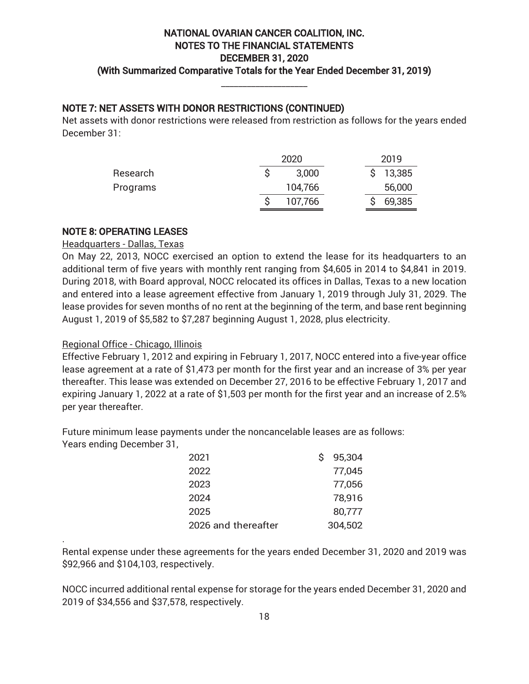\_\_\_\_\_\_\_\_\_\_\_\_\_\_\_\_\_\_\_\_

### NOTE 7: NET ASSETS WITH DONOR RESTRICTIONS (CONTINUED)

Net assets with donor restrictions were released from restriction as follows for the years ended December 31:

|          | 2020    | 2019     |
|----------|---------|----------|
| Research | 3,000   | \$13,385 |
| Programs | 104,766 | 56,000   |
|          | 107,766 | 69,385   |

## NOTE 8: OPERATING LEASES

### Headquarters - Dallas, Texas

On May 22, 2013, NOCC exercised an option to extend the lease for its headquarters to an additional term of five years with monthly rent ranging from \$4,605 in 2014 to \$4,841 in 2019. During 2018, with Board approval, NOCC relocated its offices in Dallas, Texas to a new location and entered into a lease agreement effective from January 1, 2019 through July 31, 2029. The lease provides for seven months of no rent at the beginning of the term, and base rent beginning August 1, 2019 of \$5,582 to \$7,287 beginning August 1, 2028, plus electricity.

### Regional Office - Chicago, Illinois

.

Effective February 1, 2012 and expiring in February 1, 2017, NOCC entered into a five-year office lease agreement at a rate of \$1,473 per month for the first year and an increase of 3% per year thereafter. This lease was extended on December 27, 2016 to be effective February 1, 2017 and expiring January 1, 2022 at a rate of \$1,503 per month for the first year and an increase of 2.5% per year thereafter.

Future minimum lease payments under the noncancelable leases are as follows: Years ending December 31,

| 2021                | Ś | 95,304  |
|---------------------|---|---------|
| 2022                |   | 77,045  |
| 2023                |   | 77,056  |
| 2024                |   | 78,916  |
| 2025                |   | 80,777  |
| 2026 and thereafter |   | 304,502 |

Rental expense under these agreements for the years ended December 31, 2020 and 2019 was \$92,966 and \$104,103, respectively.

NOCC incurred additional rental expense for storage for the years ended December 31, 2020 and 2019 of \$34,556 and \$37,578, respectively.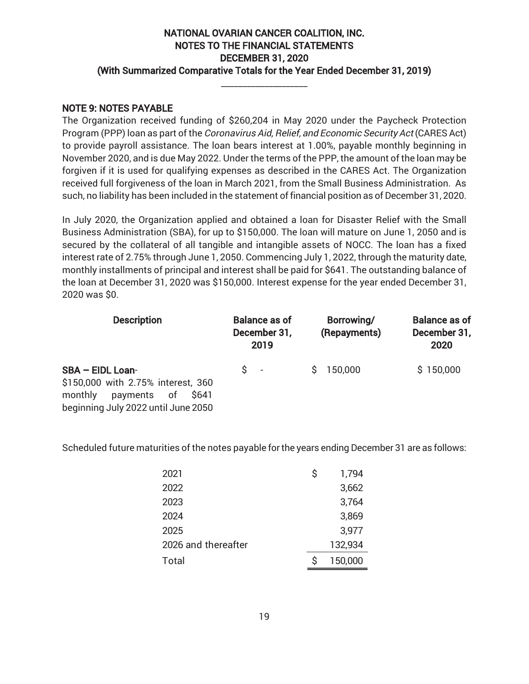\_\_\_\_\_\_\_\_\_\_\_\_\_\_\_\_\_\_\_\_

### NOTE 9: NOTES PAYABLE

The Organization received funding of \$260,204 in May 2020 under the Paycheck Protection Program (PPP) loan as part of the Coronavirus Aid, Relief, and Economic Security Act(CARES Act) to provide payroll assistance. The loan bears interest at 1.00%, payable monthly beginning in November 2020, and is due May 2022. Under the terms of the PPP, the amount of the loan may be forgiven if it is used for qualifying expenses as described in the CARES Act. The Organization received full forgiveness of the loan in March 2021, from the Small Business Administration. As such, no liability has been included in the statement of financial position as of December 31, 2020.

In July 2020, the Organization applied and obtained a loan for Disaster Relief with the Small Business Administration (SBA), for up to \$150,000. The loan will mature on June 1, 2050 and is secured by the collateral of all tangible and intangible assets of NOCC. The loan has a fixed interest rate of 2.75% through June 1, 2050. Commencing July 1, 2022, through the maturity date, monthly installments of principal and interest shall be paid for \$641. The outstanding balance of the loan at December 31, 2020 was \$150,000. Interest expense for the year ended December 31, 2020 was \$0.

| <b>Description</b>                                                       | <b>Balance as of</b><br>December 31,<br>2019 | Borrowing/<br>(Repayments) | <b>Balance as of</b><br>December 31,<br>2020 |
|--------------------------------------------------------------------------|----------------------------------------------|----------------------------|----------------------------------------------|
| SBA - EIDL Loan-<br>\$150,000 with 2.75% interest, 360                   | $\sim$ $-$                                   | 150,000                    | \$150,000                                    |
| monthly<br>payments<br>S641<br>of<br>beginning July 2022 until June 2050 |                                              |                            |                                              |

Scheduled future maturities of the notes payable for the years ending December 31 are as follows:

| 2021                | \$<br>1,794 |
|---------------------|-------------|
| 2022                | 3,662       |
| 2023                | 3,764       |
| 2024                | 3,869       |
| 2025                | 3,977       |
| 2026 and thereafter | 132,934     |
| Total               | 150,000     |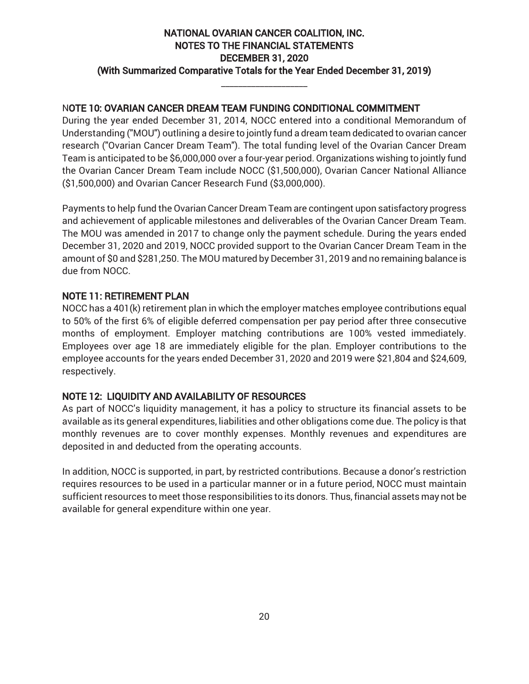### NOTE 10: OVARIAN CANCER DREAM TEAM FUNDING CONDITIONAL COMMITMENT

During the year ended December 31, 2014, NOCC entered into a conditional Memorandum of Understanding ("MOU") outlining a desire to jointly fund a dream team dedicated to ovarian cancer research ("Ovarian Cancer Dream Team"). The total funding level of the Ovarian Cancer Dream Team is anticipated to be \$6,000,000 over a four-year period. Organizations wishing to jointly fund the Ovarian Cancer Dream Team include NOCC (\$1,500,000), Ovarian Cancer National Alliance (\$1,500,000) and Ovarian Cancer Research Fund (\$3,000,000).

Payments to help fund the Ovarian Cancer Dream Team are contingent upon satisfactory progress and achievement of applicable milestones and deliverables of the Ovarian Cancer Dream Team. The MOU was amended in 2017 to change only the payment schedule. During the years ended December 31, 2020 and 2019, NOCC provided support to the Ovarian Cancer Dream Team in the amount of \$0 and \$281,250. The MOU matured by December 31, 2019 and no remaining balance is due from NOCC.

#### NOTE 11: RETIREMENT PLAN

NOCC has a 401(k) retirement plan in which the employer matches employee contributions equal to 50% of the first 6% of eligible deferred compensation per pay period after three consecutive months of employment. Employer matching contributions are 100% vested immediately. Employees over age 18 are immediately eligible for the plan. Employer contributions to the employee accounts for the years ended December 31, 2020 and 2019 were \$21,804 and \$24,609, respectively.

#### NOTE 12: LIQUIDITY AND AVAILABILITY OF RESOURCES

As part of NOCC's liquidity management, it has a policy to structure its financial assets to be available as its general expenditures, liabilities and other obligations come due. The policy is that monthly revenues are to cover monthly expenses. Monthly revenues and expenditures are deposited in and deducted from the operating accounts.

In addition, NOCC is supported, in part, by restricted contributions. Because a donor's restriction requires resources to be used in a particular manner or in a future period, NOCC must maintain sufficient resources to meet those responsibilities to its donors. Thus, financial assets may not be available for general expenditure within one year.